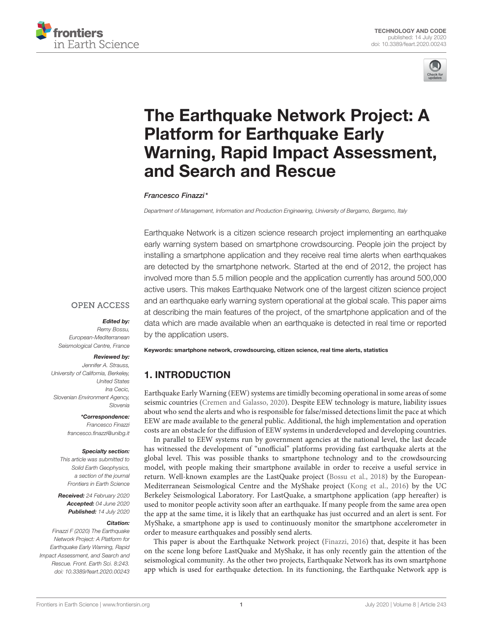



# The Earthquake Network Project: A Platform for Earthquake Early [Warning, Rapid Impact Assessment,](https://www.frontiersin.org/articles/10.3389/feart.2020.00243/full) and Search and Rescue

#### [Francesco Finazzi\\*](http://loop.frontiersin.org/people/914441/overview)

*Department of Management, Information and Production Engineering, University of Bergamo, Bergamo, Italy*

Earthquake Network is a citizen science research project implementing an earthquake early warning system based on smartphone crowdsourcing. People join the project by installing a smartphone application and they receive real time alerts when earthquakes are detected by the smartphone network. Started at the end of 2012, the project has involved more than 5.5 million people and the application currently has around 500,000 active users. This makes Earthquake Network one of the largest citizen science project and an earthquake early warning system operational at the global scale. This paper aims at describing the main features of the project, of the smartphone application and of the data which are made available when an earthquake is detected in real time or reported by the application users.

#### **OPEN ACCESS**

#### Edited by:

*Remy Bossu, European-Mediterranean Seismological Centre, France*

#### Reviewed by:

*Jennifer A. Strauss, University of California, Berkeley, United States Ina Cecic, Slovenian Environment Agency, Slovenia*

#### \*Correspondence:

*Francesco Finazzi [francesco.finazzi@unibg.it](mailto:francesco.finazzi@unibg.it)*

#### Specialty section:

*This article was submitted to Solid Earth Geophysics, a section of the journal Frontiers in Earth Science*

Received: *24 February 2020* Accepted: *04 June 2020* Published: *14 July 2020*

#### Citation:

*Finazzi F (2020) The Earthquake Network Project: A Platform for Earthquake Early Warning, Rapid Impact Assessment, and Search and Rescue. Front. Earth Sci. 8:243. doi: [10.3389/feart.2020.00243](https://doi.org/10.3389/feart.2020.00243)* Keywords: smartphone network, crowdsourcing, citizen science, real time alerts, statistics

# 1. INTRODUCTION

Earthquake Early Warning (EEW) systems are timidly becoming operational in some areas of some seismic countries [\(Cremen and Galasso, 2020\)](#page-6-0). Despite EEW technology is mature, liability issues about who send the alerts and who is responsible for false/missed detections limit the pace at which EEW are made available to the general public. Additional, the high implementation and operation costs are an obstacle for the diffusion of EEW systems in underdeveloped and developing countries.

In parallel to EEW systems run by government agencies at the national level, the last decade has witnessed the development of "unofficial" platforms providing fast earthquake alerts at the global level. This was possible thanks to smartphone technology and to the crowdsourcing model, with people making their smartphone available in order to receive a useful service in return. Well-known examples are the LastQuake project [\(Bossu et al., 2018\)](#page-6-1) by the European-Mediterranean Seismological Centre and the MyShake project [\(Kong et al., 2016\)](#page-6-2) by the UC Berkeley Seismological Laboratory. For LastQuake, a smartphone application (app hereafter) is used to monitor people activity soon after an earthquake. If many people from the same area open the app at the same time, it is likely that an earthquake has just occurred and an alert is sent. For MyShake, a smartphone app is used to continuously monitor the smartphone accelerometer in order to measure earthquakes and possibly send alerts.

This paper is about the Earthquake Network project [\(Finazzi, 2016\)](#page-6-3) that, despite it has been on the scene long before LastQuake and MyShake, it has only recently gain the attention of the seismological community. As the other two projects, Earthquake Network has its own smartphone app which is used for earthquake detection. In its functioning, the Earthquake Network app is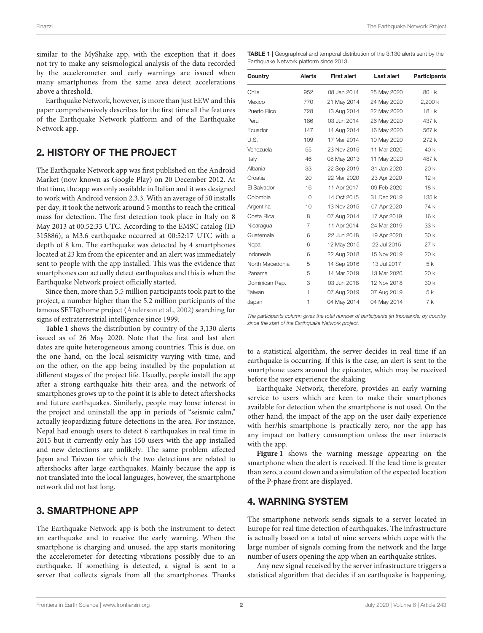similar to the MyShake app, with the exception that it does not try to make any seismological analysis of the data recorded by the accelerometer and early warnings are issued when many smartphones from the same area detect accelerations above a threshold.

Earthquake Network, however, is more than just EEW and this paper comprehensively describes for the first time all the features of the Earthquake Network platform and of the Earthquake Network app.

#### 2. HISTORY OF THE PROJECT

The Earthquake Network app was first published on the Android Market (now known as Google Play) on 20 December 2012. At that time, the app was only available in Italian and it was designed to work with Android version 2.3.3. With an average of 50 installs per day, it took the network around 5 months to reach the critical mass for detection. The first detection took place in Italy on 8 May 2013 at 00:52:33 UTC. According to the EMSC catalog (ID 315886), a M3.6 earthquake occurred at 00:52:17 UTC with a depth of 8 km. The earthquake was detected by 4 smartphones located at 23 km from the epicenter and an alert was immediately sent to people with the app installed. This was the evidence that smartphones can actually detect earthquakes and this is when the Earthquake Network project officially started.

Since then, more than 5.5 million participants took part to the project, a number higher than the 5.2 million participants of the famous SETI@home project [\(Anderson et al., 2002\)](#page-6-4) searching for signs of extraterrestrial intelligence since 1999.

**[Table 1](#page-1-0)** shows the distribution by country of the 3,130 alerts issued as of 26 May 2020. Note that the first and last alert dates are quite heterogeneous among countries. This is due, on the one hand, on the local seismicity varying with time, and on the other, on the app being installed by the population at different stages of the project life. Usually, people install the app after a strong earthquake hits their area, and the network of smartphones grows up to the point it is able to detect aftershocks and future earthquakes. Similarly, people may loose interest in the project and uninstall the app in periods of "seismic calm," actually jeopardizing future detections in the area. For instance, Nepal had enough users to detect 6 earthquakes in real time in 2015 but it currently only has 150 users with the app installed and new detections are unlikely. The same problem affected Japan and Taiwan for which the two detections are related to aftershocks after large earthquakes. Mainly because the app is not translated into the local languages, however, the smartphone network did not last long.

#### 3. SMARTPHONE APP

The Earthquake Network app is both the instrument to detect an earthquake and to receive the early warning. When the smartphone is charging and unused, the app starts monitoring the accelerometer for detecting vibrations possibly due to an earthquake. If something is detected, a signal is sent to a server that collects signals from all the smartphones. Thanks

<span id="page-1-0"></span>TABLE 1 | Geographical and temporal distribution of the 3,130 alerts sent by the Earthquake Network platform since 2013.

| Country         | Alerts          | <b>First alert</b> | Last alert  | <b>Participants</b> |
|-----------------|-----------------|--------------------|-------------|---------------------|
| Chile           | 952             | 08 Jan 2014        | 25 May 2020 | 801 k               |
| Mexico          | 770             | 21 May 2014        | 24 May 2020 | 2,200 k             |
| Puerto Rico     | 728             | 13 Aug 2014        | 22 May 2020 | 181 k               |
| Peru            | 186             | 03 Jun 2014        | 26 May 2020 | 437 k               |
| Ecuador         | 147             | 14 Aug 2014        | 16 May 2020 | 567 k               |
| U.S.            | 109             | 17 Mar 2014        | 10 May 2020 | 272 k               |
| Venezuela       | 55              | 23 Nov 2015        | 11 Mar 2020 | 40 k                |
| Italy           | 46              | 08 May 2013        | 11 May 2020 | 487 k               |
| Albania         | 33              | 22 Sep 2019        | 31 Jan 2020 | 20k                 |
| Croatia         | 20              | 22 Mar 2020        | 23 Apr 2020 | 12k                 |
| El Salvador     | 16              | 11 Apr 2017        | 09 Feb 2020 | 18k                 |
| Colombia        | 10              | 14 Oct 2015        | 31 Dec 2019 | 135 k               |
| Argentina       | 10 <sup>1</sup> | 13 Nov 2015        | 07 Apr 2020 | 74 k                |
| Costa Rica      | 8               | 07 Aug 2014        | 17 Apr 2019 | 16k                 |
| Nicaragua       | 7               | 11 Apr 2014        | 24 Mar 2019 | 33 k                |
| Guatemala       | 6               | 22 Jun 2018        | 19 Apr 2020 | 30 k                |
| Nepal           | 6               | 12 May 2015        | 22 Jul 2015 | 27k                 |
| Indonesia       | 6               | 22 Aug 2018        | 15 Nov 2019 | 20 k                |
| North Macedonia | 5               | 14 Sep 2016        | 13 Jul 2017 | 5 k                 |
| Panama          | 5               | 14 Mar 2019        | 13 Mar 2020 | 20 k                |
| Dominican Rep.  | 3               | 03 Jun 2018        | 12 Nov 2018 | 30 k                |
| Taiwan          | 1               | 07 Aug 2019        | 07 Aug 2019 | 5 k                 |
| Japan           | 1               | 04 May 2014        | 04 May 2014 | 7 k                 |

*The participants column gives the total number of participants (in thousands) by country since the start of the Earthquake Network project.*

to a statistical algorithm, the server decides in real time if an earthquake is occurring. If this is the case, an alert is sent to the smartphone users around the epicenter, which may be received before the user experience the shaking.

Earthquake Network, therefore, provides an early warning service to users which are keen to make their smartphones available for detection when the smartphone is not used. On the other hand, the impact of the app on the user daily experience with her/his smartphone is practically zero, nor the app has any impact on battery consumption unless the user interacts with the app.

**[Figure 1](#page-2-0)** shows the warning message appearing on the smartphone when the alert is received. If the lead time is greater than zero, a count down and a simulation of the expected location of the P-phase front are displayed.

#### 4. WARNING SYSTEM

The smartphone network sends signals to a server located in Europe for real time detection of earthquakes. The infrastructure is actually based on a total of nine servers which cope with the large number of signals coming from the network and the large number of users opening the app when an earthquake strikes.

Any new signal received by the server infrastructure triggers a statistical algorithm that decides if an earthquake is happening.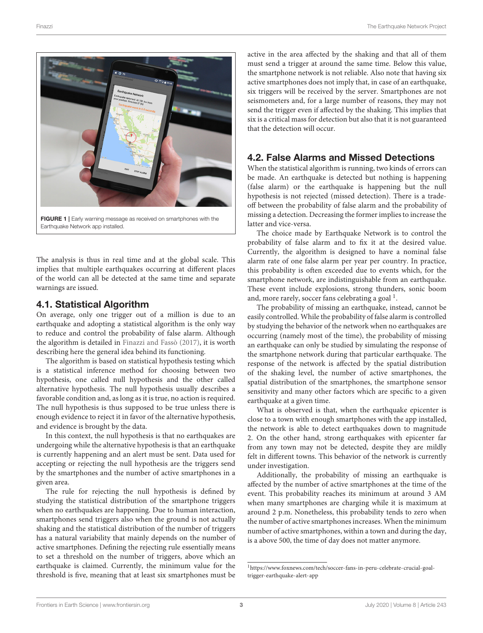

FIGURE 1 | Early warning message as received on smartphones with the Earthquake Network app installed.

<span id="page-2-0"></span>The analysis is thus in real time and at the global scale. This implies that multiple earthquakes occurring at different places of the world can all be detected at the same time and separate warnings are issued.

#### 4.1. Statistical Algorithm

On average, only one trigger out of a million is due to an earthquake and adopting a statistical algorithm is the only way to reduce and control the probability of false alarm. Although the algorithm is detailed in [Finazzi and Fassò \(2017\)](#page-6-5), it is worth describing here the general idea behind its functioning.

The algorithm is based on statistical hypothesis testing which is a statistical inference method for choosing between two hypothesis, one called null hypothesis and the other called alternative hypothesis. The null hypothesis usually describes a favorable condition and, as long as it is true, no action is required. The null hypothesis is thus supposed to be true unless there is enough evidence to reject it in favor of the alternative hypothesis, and evidence is brought by the data.

In this context, the null hypothesis is that no earthquakes are undergoing while the alternative hypothesis is that an earthquake is currently happening and an alert must be sent. Data used for accepting or rejecting the null hypothesis are the triggers send by the smartphones and the number of active smartphones in a given area.

The rule for rejecting the null hypothesis is defined by studying the statistical distribution of the smartphone triggers when no earthquakes are happening. Due to human interaction, smartphones send triggers also when the ground is not actually shaking and the statistical distribution of the number of triggers has a natural variability that mainly depends on the number of active smartphones. Defining the rejecting rule essentially means to set a threshold on the number of triggers, above which an earthquake is claimed. Currently, the minimum value for the threshold is five, meaning that at least six smartphones must be active in the area affected by the shaking and that all of them must send a trigger at around the same time. Below this value, the smartphone network is not reliable. Also note that having six active smartphones does not imply that, in case of an earthquake, six triggers will be received by the server. Smartphones are not seismometers and, for a large number of reasons, they may not send the trigger even if affected by the shaking. This implies that six is a critical mass for detection but also that it is not guaranteed that the detection will occur.

## 4.2. False Alarms and Missed Detections

When the statistical algorithm is running, two kinds of errors can be made. An earthquake is detected but nothing is happening (false alarm) or the earthquake is happening but the null hypothesis is not rejected (missed detection). There is a tradeoff between the probability of false alarm and the probability of missing a detection. Decreasing the former implies to increase the latter and vice-versa.

The choice made by Earthquake Network is to control the probability of false alarm and to fix it at the desired value. Currently, the algorithm is designed to have a nominal false alarm rate of one false alarm per year per country. In practice, this probability is often exceeded due to events which, for the smartphone network, are indistinguishable from an earthquake. These event include explosions, strong thunders, sonic boom and, more rarely, soccer fans celebrating a goal<sup>[1](#page-2-1)</sup>.

The probability of missing an earthquake, instead, cannot be easily controlled. While the probability of false alarm is controlled by studying the behavior of the network when no earthquakes are occurring (namely most of the time), the probability of missing an earthquake can only be studied by simulating the response of the smartphone network during that particular earthquake. The response of the network is affected by the spatial distribution of the shaking level, the number of active smartphones, the spatial distribution of the smartphones, the smartphone sensor sensitivity and many other factors which are specific to a given earthquake at a given time.

What is observed is that, when the earthquake epicenter is close to a town with enough smartphones with the app installed, the network is able to detect earthquakes down to magnitude 2. On the other hand, strong earthquakes with epicenter far from any town may not be detected, despite they are mildly felt in different towns. This behavior of the network is currently under investigation.

Additionally, the probability of missing an earthquake is affected by the number of active smartphones at the time of the event. This probability reaches its minimum at around 3 AM when many smartphones are charging while it is maximum at around 2 p.m. Nonetheless, this probability tends to zero when the number of active smartphones increases. When the minimum number of active smartphones, within a town and during the day, is a above 500, the time of day does not matter anymore.

<span id="page-2-1"></span><sup>1</sup>[https://www.foxnews.com/tech/soccer-fans-in-peru-celebrate-crucial-goal](https://www.foxnews.com/tech/soccer-fans-in-peru-celebrate-crucial-goal-trigger-earthquake-alert-app)[trigger-earthquake-alert-app](https://www.foxnews.com/tech/soccer-fans-in-peru-celebrate-crucial-goal-trigger-earthquake-alert-app)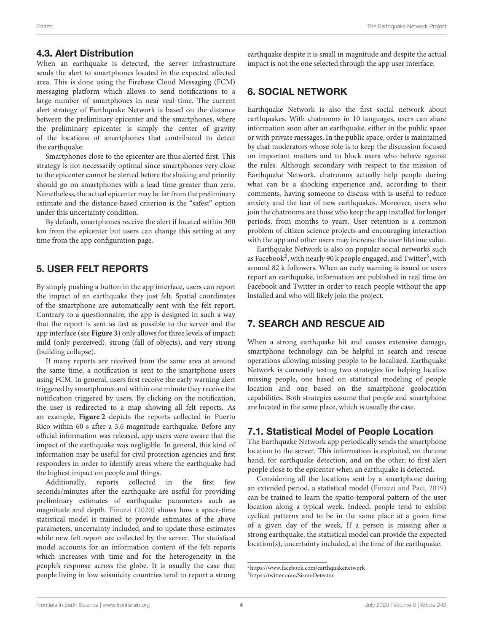#### 4.3. Alert Distribution

When an earthquake is detected, the server infrastructure sends the alert to smartphones located in the expected affected area. This is done using the Firebase Cloud Messaging (FCM) messaging platform which allows to send notifications to a large number of smartphones in near real time. The current alert strategy of Earthquake Network is based on the distance between the preliminary epicenter and the smartphones, where the preliminary epicenter is simply the center of gravity of the locations of smartphones that contributed to detect the earthquake.

Smartphones close to the epicenter are thus alerted first. This strategy is not necessarily optimal since smartphones very close to the epicenter cannot be alerted before the shaking and priority should go on smartphones with a lead time greater than zero. Nonetheless, the actual epicenter may be far from the preliminary estimate and the distance-based criterion is the "safest" option under this uncertainty condition.

By default, smartphones receive the alert if located within 300 km from the epicenter but users can change this setting at any time from the app configuration page.

#### 5. USER FELT REPORTS

By simply pushing a button in the app interface, users can report the impact of an earthquake they just felt. Spatial coordinates of the smartphone are automatically sent with the felt report. Contrary to a questionnaire, the app is designed in such a way that the report is sent as fast as possible to the server and the app interface (see **[Figure 3](#page-4-0)**) only allows for three levels of impact: mild (only perceived), strong (fall of objects), and very strong (building collapse).

If many reports are received from the same area at around the same time, a notification is sent to the smartphone users using FCM. In general, users first receive the early warning alert triggered by smartphones and within one minute they receive the notification triggered by users. By clicking on the notification, the user is redirected to a map showing all felt reports. As an example, **[Figure 2](#page-4-1)** depicts the reports collected in Puerto Rico within 60 s after a 3.6 magnitude earthquake. Before any official information was released, app users were aware that the impact of the earthquake was negligible. In general, this kind of information may be useful for civil protection agencies and first responders in order to identify areas where the earthquake had the highest impact on people and things.

Additionally, reports collected in the first few seconds/minutes after the earthquake are useful for providing preliminary estimates of earthquake parameters such as magnitude and depth. [Finazzi \(2020\)](#page-6-6) shows how a space-time statistical model is trained to provide estimates of the above parameters, uncertainty included, and to update those estimates while new felt report are collected by the server. The statistical model accounts for an information content of the felt reports which increases with time and for the heterogeneity in the people's response across the globe. It is usually the case that people living in low seismicity countries tend to report a strong earthquake despite it is small in magnitude and despite the actual impact is not the one selected through the app user interface.

### 6. SOCIAL NETWORK

Earthquake Network is also the first social network about earthquakes. With chatrooms in 10 languages, users can share information soon after an earthquake, either in the public space or with private messages. In the public space, order is maintained by chat moderators whose role is to keep the discussion focused on important matters and to block users who behave against the rules. Although secondary with respect to the mission of Earthquake Network, chatrooms actually help people during what can be a shocking experience and, according to their comments, having someone to discuss with is useful to reduce anxiety and the fear of new earthquakes. Moreover, users who join the chatrooms are those who keep the app installed for longer periods, from months to years. User retention is a common problem of citizen science projects and encouraging interaction with the app and other users may increase the user lifetime value.

Earthquake Network is also on popular social networks such as Facebook<sup>[2](#page-3-0)</sup>, with nearly 90 k people engaged, and Twitter<sup>[3](#page-3-1)</sup>, with around 82 k followers. When an early warning is issued or users report an earthquake, information are published in real time on Facebook and Twitter in order to reach people without the app installed and who will likely join the project.

# 7. SEARCH AND RESCUE AID

When a strong earthquake hit and causes extensive damage, smartphone technology can be helpful in search and rescue operations allowing missing people to be localized. Earthquake Network is currently testing two strategies for helping localize missing people, one based on statistical modeling of people location and one based on the smartphone geolocation capabilities. Both strategies assume that people and smartphone are located in the same place, which is usually the case.

### 7.1. Statistical Model of People Location

The Earthquake Network app periodically sends the smartphone location to the server. This information is exploited, on the one hand, for earthquake detection, and on the other, to first alert people close to the epicenter when an earthquake is detected.

Considering all the locations sent by a smartphone during an extended period, a statistical model [\(Finazzi and Paci, 2019\)](#page-6-7) can be trained to learn the spatio-temporal pattern of the user location along a typical week. Indeed, people tend to exhibit cyclical patterns and to be in the same place at a given time of a given day of the week. If a person is missing after a strong earthquake, the statistical model can provide the expected location(s), uncertainty included, at the time of the earthquake.

<span id="page-3-0"></span><sup>2</sup><https://www.facebook.com/earthquakenetwork>

<span id="page-3-1"></span><sup>3</sup><https://twitter.com/SismoDetector>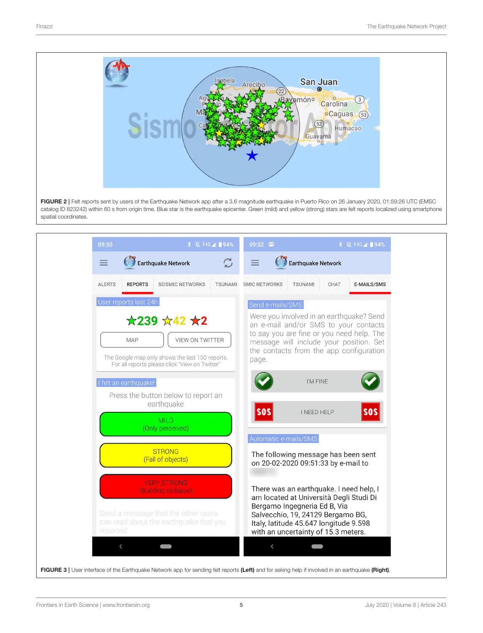

<span id="page-4-1"></span>FIGURE 2 | Felt reports sent by users of the Earthquake Network app after a 3.6 magnitude earthquake in Puerto Rico on 26 January 2020, 01:59:26 UTC (EMSC catalog ID 823242) within 60 s from origin time. Blue star is the earthquake epicenter. Green (mild) and yellow (strong) stars are felt reports localized using smartphone spatial coordinates.

<span id="page-4-0"></span>

| 09:50                                                                                                                                                                  | 09:52                                  |                                                                                                                                                                                                                                          | <b><i>\</i></b> <u>R</u> <sup>446</sup> <i>A</i> 194% |
|------------------------------------------------------------------------------------------------------------------------------------------------------------------------|----------------------------------------|------------------------------------------------------------------------------------------------------------------------------------------------------------------------------------------------------------------------------------------|-------------------------------------------------------|
| <b>Earthquake Network</b><br>$\equiv$                                                                                                                                  | $\mathfrak{S}$<br>$\equiv$             | <b>Earthquake Network</b>                                                                                                                                                                                                                |                                                       |
| <b>SEISMIC NETWORKS</b><br><b>ALERTS</b><br><b>REPORTS</b>                                                                                                             | <b>TSUNAMI</b><br><b>SMIC NETWORKS</b> | <b>TSUNAMI</b><br>CHAT                                                                                                                                                                                                                   | E-MAILS/SMS                                           |
| User reports last 24h                                                                                                                                                  | Send e-mails/SMS                       |                                                                                                                                                                                                                                          |                                                       |
| $\star$ 239 $\star$ 42 $\star$ 2<br>VIEW ON TWITTER<br><b>MAP</b><br>The Google map only shows the last 150 reports.<br>For all reports please click "View on Twitter" | page.                                  | Were you involved in an earthquake? Send<br>an e-mail and/or SMS to your contacts<br>to say you are fine or you need help. The<br>message will include your position. Set<br>the contacts from the app configuration                     |                                                       |
| I felt an earthquake!                                                                                                                                                  |                                        | I'M FINE                                                                                                                                                                                                                                 |                                                       |
| Press the button below to report an<br>earthquake                                                                                                                      | <b>SOS</b>                             | <b>I NEED HELP</b>                                                                                                                                                                                                                       | $ $ sos $ $                                           |
| <b>MILD</b><br>(Only perceived)                                                                                                                                        |                                        |                                                                                                                                                                                                                                          |                                                       |
| <b>STRONG</b>                                                                                                                                                          |                                        | Automatic e-mails/SMS                                                                                                                                                                                                                    |                                                       |
| (Fall of objects)                                                                                                                                                      |                                        | The following message has been sent<br>on 20-02-2020 09:51:33 by e-mail to                                                                                                                                                               |                                                       |
| <b>VERY STRONG</b><br>(Building collapse)<br>Send a message that the other users<br>can read about the earthquake that you<br>reported                                 |                                        | There was an earthquake. I need help, I<br>am located at Università Degli Studi Di<br>Bergamo Ingegneria Ed B, Via<br>Salvecchio, 19, 24129 Bergamo BG,<br>Italy, latitude 45.647 longitude 9.598<br>with an uncertainty of 15.3 meters. |                                                       |
| $\overline{\phantom{0}}$                                                                                                                                               | $\langle$                              |                                                                                                                                                                                                                                          |                                                       |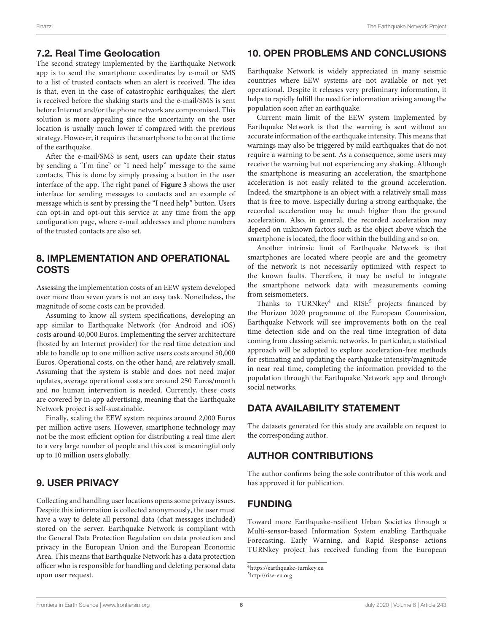#### 7.2. Real Time Geolocation

The second strategy implemented by the Earthquake Network app is to send the smartphone coordinates by e-mail or SMS to a list of trusted contacts when an alert is received. The idea is that, even in the case of catastrophic earthquakes, the alert is received before the shaking starts and the e-mail/SMS is sent before Internet and/or the phone network are compromised. This solution is more appealing since the uncertainty on the user location is usually much lower if compared with the previous strategy. However, it requires the smartphone to be on at the time of the earthquake.

After the e-mail/SMS is sent, users can update their status by sending a "I'm fine" or "I need help" message to the same contacts. This is done by simply pressing a button in the user interface of the app. The right panel of **[Figure 3](#page-4-0)** shows the user interface for sending messages to contacts and an example of message which is sent by pressing the "I need help" button. Users can opt-in and opt-out this service at any time from the app configuration page, where e-mail addresses and phone numbers of the trusted contacts are also set.

### 8. IMPLEMENTATION AND OPERATIONAL COSTS

Assessing the implementation costs of an EEW system developed over more than seven years is not an easy task. Nonetheless, the magnitude of some costs can be provided.

Assuming to know all system specifications, developing an app similar to Earthquake Network (for Android and iOS) costs around 40,000 Euros. Implementing the server architecture (hosted by an Internet provider) for the real time detection and able to handle up to one million active users costs around 50,000 Euros. Operational costs, on the other hand, are relatively small. Assuming that the system is stable and does not need major updates, average operational costs are around 250 Euros/month and no human intervention is needed. Currently, these costs are covered by in-app advertising, meaning that the Earthquake Network project is self-sustainable.

Finally, scaling the EEW system requires around 2,000 Euros per million active users. However, smartphone technology may not be the most efficient option for distributing a real time alert to a very large number of people and this cost is meaningful only up to 10 million users globally.

#### 9. USER PRIVACY

Collecting and handling user locations opens some privacy issues. Despite this information is collected anonymously, the user must have a way to delete all personal data (chat messages included) stored on the server. Earthquake Network is compliant with the General Data Protection Regulation on data protection and privacy in the European Union and the European Economic Area. This means that Earthquake Network has a data protection officer who is responsible for handling and deleting personal data upon user request.

### 10. OPEN PROBLEMS AND CONCLUSIONS

Earthquake Network is widely appreciated in many seismic countries where EEW systems are not available or not yet operational. Despite it releases very preliminary information, it helps to rapidly fulfill the need for information arising among the population soon after an earthquake.

Current main limit of the EEW system implemented by Earthquake Network is that the warning is sent without an accurate information of the earthquake intensity. This means that warnings may also be triggered by mild earthquakes that do not require a warning to be sent. As a consequence, some users may receive the warning but not experiencing any shaking. Although the smartphone is measuring an acceleration, the smartphone acceleration is not easily related to the ground acceleration. Indeed, the smartphone is an object with a relatively small mass that is free to move. Especially during a strong earthquake, the recorded acceleration may be much higher than the ground acceleration. Also, in general, the recorded acceleration may depend on unknown factors such as the object above which the smartphone is located, the floor within the building and so on.

Another intrinsic limit of Earthquake Network is that smartphones are located where people are and the geometry of the network is not necessarily optimized with respect to the known faults. Therefore, it may be useful to integrate the smartphone network data with measurements coming from seismometers.

Thanks to TURNkey<sup>[4](#page-5-0)</sup> and RISE<sup>[5](#page-5-1)</sup> projects financed by the Horizon 2020 programme of the European Commission, Earthquake Network will see improvements both on the real time detection side and on the real time integration of data coming from classing seismic networks. In particular, a statistical approach will be adopted to explore acceleration-free methods for estimating and updating the earthquake intensity/magnitude in near real time, completing the information provided to the population through the Earthquake Network app and through social networks.

### DATA AVAILABILITY STATEMENT

The datasets generated for this study are available on request to the corresponding author.

### AUTHOR CONTRIBUTIONS

The author confirms being the sole contributor of this work and has approved it for publication.

#### FUNDING

Toward more Earthquake-resilient Urban Societies through a Multi-sensor-based Information System enabling Earthquake Forecasting, Early Warning, and Rapid Response actions TURNkey project has received funding from the European

<span id="page-5-0"></span><sup>4</sup><https://earthquake-turnkey.eu>

<span id="page-5-1"></span><sup>5</sup><http://rise-eu.org>